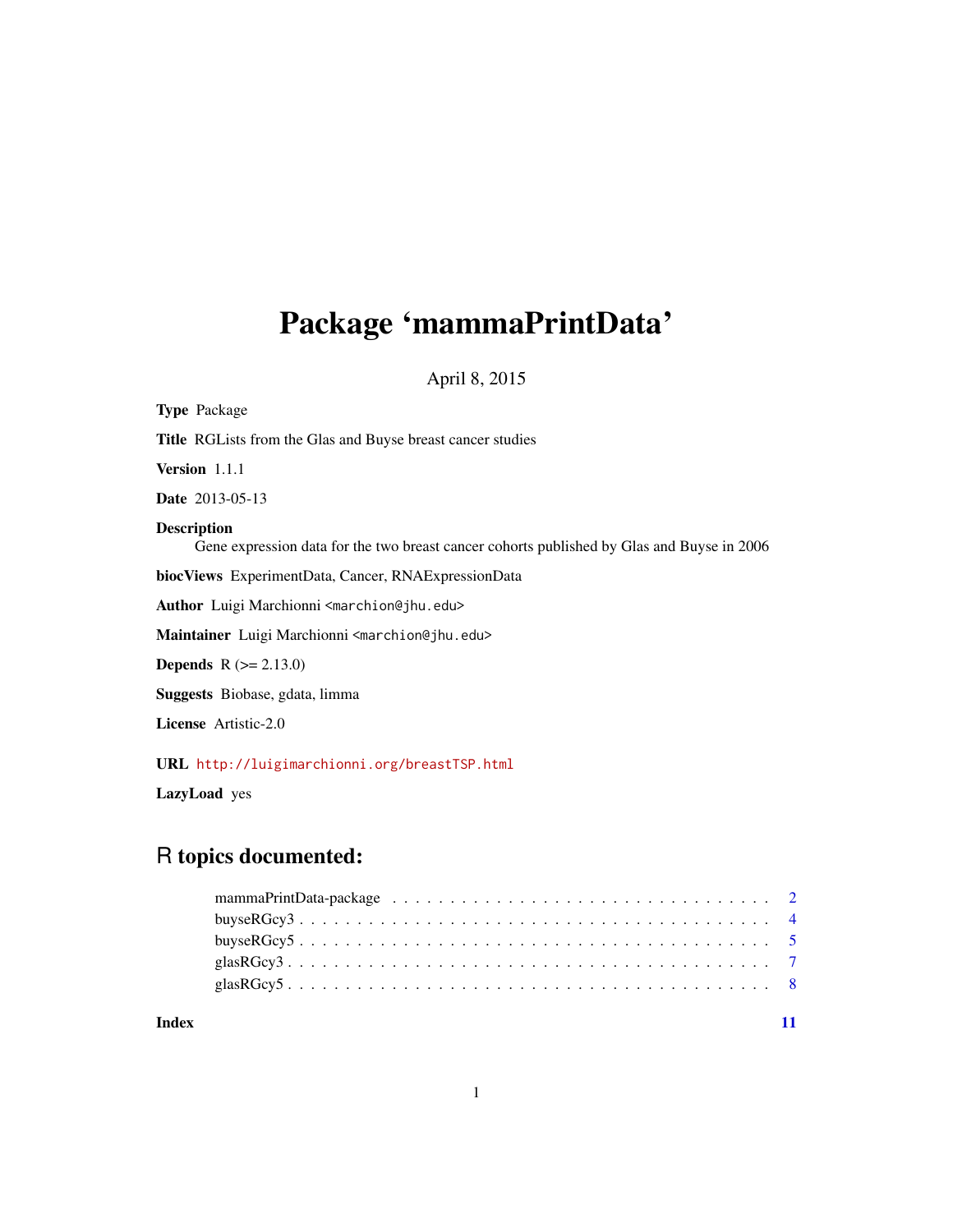# <span id="page-0-0"></span>Package 'mammaPrintData'

April 8, 2015

| <b>Type Package</b>                                                                                              |
|------------------------------------------------------------------------------------------------------------------|
| <b>Title</b> RGLists from the Glas and Buyse breast cancer studies                                               |
| Version 1.1.1                                                                                                    |
| <b>Date</b> 2013-05-13                                                                                           |
| <b>Description</b><br>Gene expression data for the two breast cancer cohorts published by Glas and Buyse in 2006 |
| bioc Views Experiment Data, Cancer, RNA Expression Data                                                          |
| Author Luigi Marchionni <marchion@jhu.edu></marchion@jhu.edu>                                                    |
| Maintainer Luigi Marchionni <marchion@jhu.edu></marchion@jhu.edu>                                                |
| <b>Depends</b> $R (= 2.13.0)$                                                                                    |
| <b>Suggests</b> Biobase, gdata, limma                                                                            |
| <b>License</b> Artistic-2.0                                                                                      |
| URL http://luigimarchionni.org/breastTSP.html                                                                    |

LazyLoad yes

# R topics documented:

| Index |  |  |  |  |  |  |  |  |  |  |  |  |  |  |  |  |
|-------|--|--|--|--|--|--|--|--|--|--|--|--|--|--|--|--|
|       |  |  |  |  |  |  |  |  |  |  |  |  |  |  |  |  |
|       |  |  |  |  |  |  |  |  |  |  |  |  |  |  |  |  |
|       |  |  |  |  |  |  |  |  |  |  |  |  |  |  |  |  |
|       |  |  |  |  |  |  |  |  |  |  |  |  |  |  |  |  |
|       |  |  |  |  |  |  |  |  |  |  |  |  |  |  |  |  |

1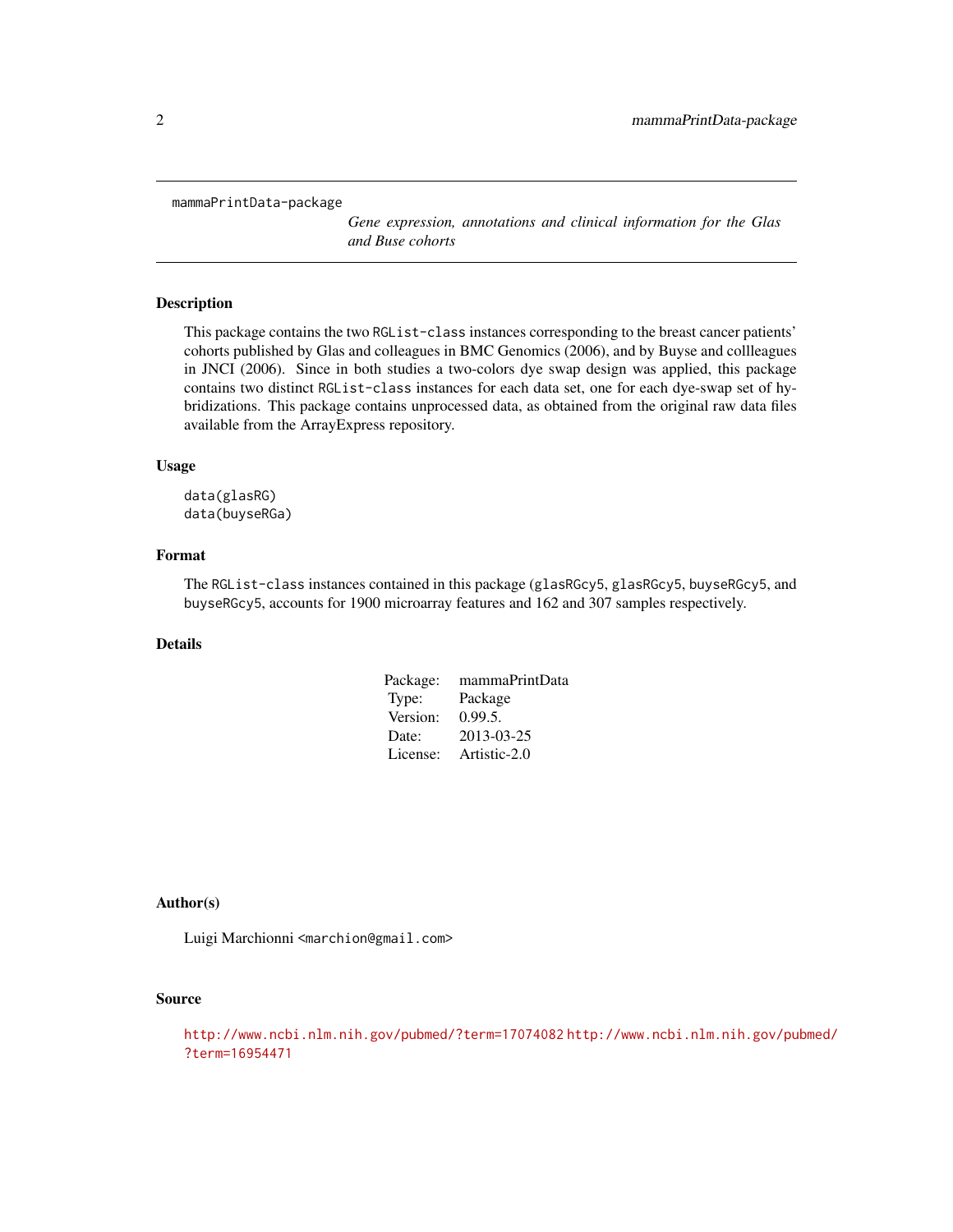<span id="page-1-0"></span>mammaPrintData-package

*Gene expression, annotations and clinical information for the Glas and Buse cohorts*

#### Description

This package contains the two RGList-class instances corresponding to the breast cancer patients' cohorts published by Glas and colleagues in BMC Genomics (2006), and by Buyse and collleagues in JNCI (2006). Since in both studies a two-colors dye swap design was applied, this package contains two distinct RGList-class instances for each data set, one for each dye-swap set of hybridizations. This package contains unprocessed data, as obtained from the original raw data files available from the ArrayExpress repository.

# Usage

data(glasRG) data(buyseRGa)

# Format

The RGList-class instances contained in this package (glasRGcy5, glasRGcy5, buyseRGcy5, and buyseRGcy5, accounts for 1900 microarray features and 162 and 307 samples respectively.

# Details

| mammaPrintData |
|----------------|
| Package        |
| 0.99.5.        |
| 2013-03-25     |
| Artistic-2.0   |
|                |

# Author(s)

Luigi Marchionni <marchion@gmail.com>

# Source

<http://www.ncbi.nlm.nih.gov/pubmed/?term=17074082> [http://www.ncbi.nlm.nih.gov/pu](http://www.ncbi.nlm.nih.gov/pubmed/?term=16954471)bmed/ [?term=16954471](http://www.ncbi.nlm.nih.gov/pubmed/?term=16954471)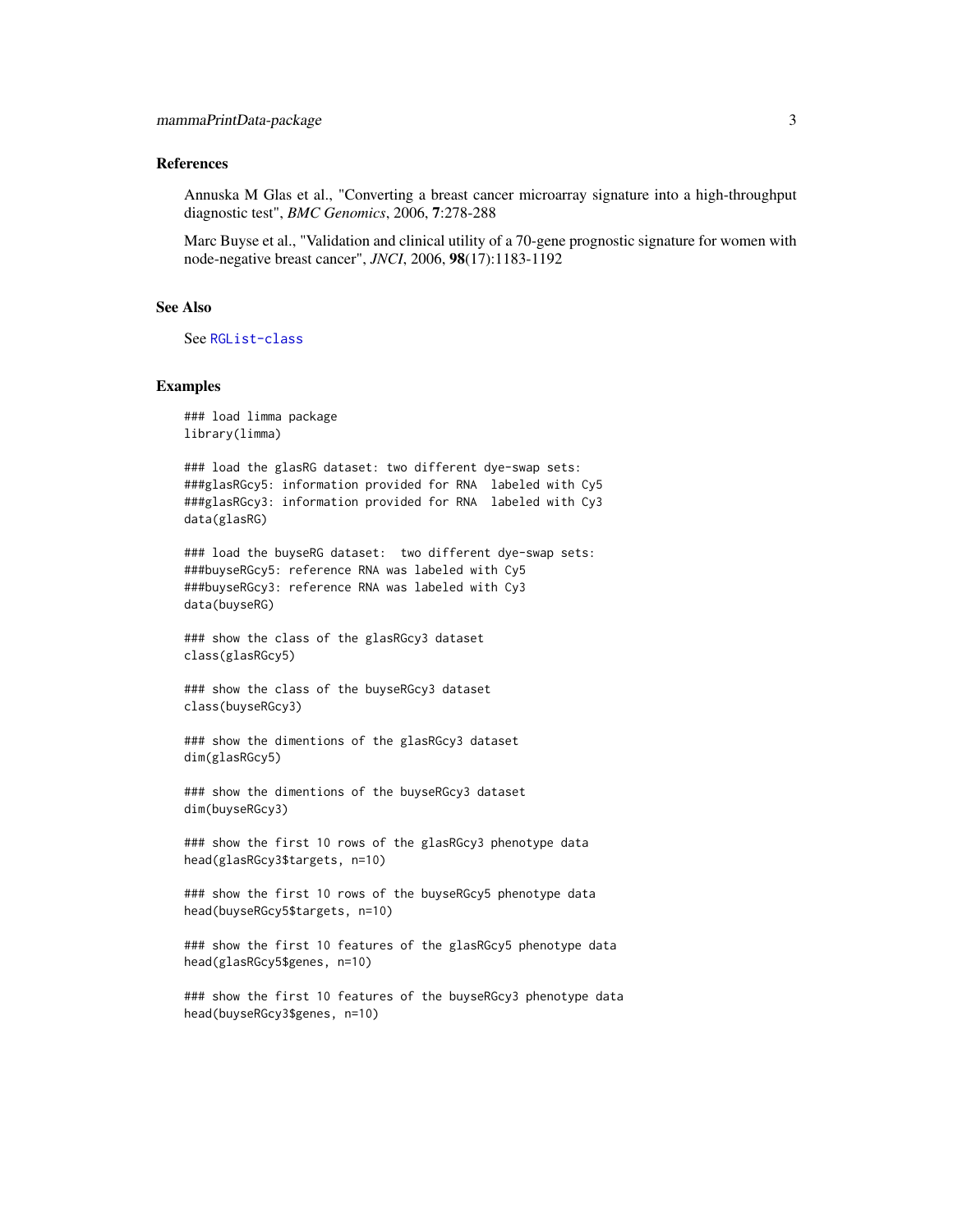#### References

Annuska M Glas et al., "Converting a breast cancer microarray signature into a high-throughput diagnostic test", *BMC Genomics*, 2006, 7:278-288

Marc Buyse et al., "Validation and clinical utility of a 70-gene prognostic signature for women with node-negative breast cancer", *JNCI*, 2006, 98(17):1183-1192

# See Also

See [RGList-class](#page-0-0)

#### Examples

### load limma package library(limma)

### load the glasRG dataset: two different dye-swap sets: ###glasRGcy5: information provided for RNA labeled with Cy5 ###glasRGcy3: information provided for RNA labeled with Cy3 data(glasRG)

### load the buyseRG dataset: two different dye-swap sets: ###buyseRGcy5: reference RNA was labeled with Cy5 ###buyseRGcy3: reference RNA was labeled with Cy3 data(buyseRG)

### show the class of the glasRGcy3 dataset class(glasRGcy5)

```
### show the class of the buyseRGcy3 dataset
class(buyseRGcy3)
```
### show the dimentions of the glasRGcy3 dataset dim(glasRGcy5)

### show the dimentions of the buyseRGcy3 dataset dim(buyseRGcy3)

### show the first 10 rows of the glasRGcy3 phenotype data head(glasRGcy3\$targets, n=10)

### show the first 10 rows of the buyseRGcy5 phenotype data head(buyseRGcy5\$targets, n=10)

### show the first 10 features of the glasRGcy5 phenotype data head(glasRGcy5\$genes, n=10)

### show the first 10 features of the buyseRGcy3 phenotype data head(buyseRGcy3\$genes, n=10)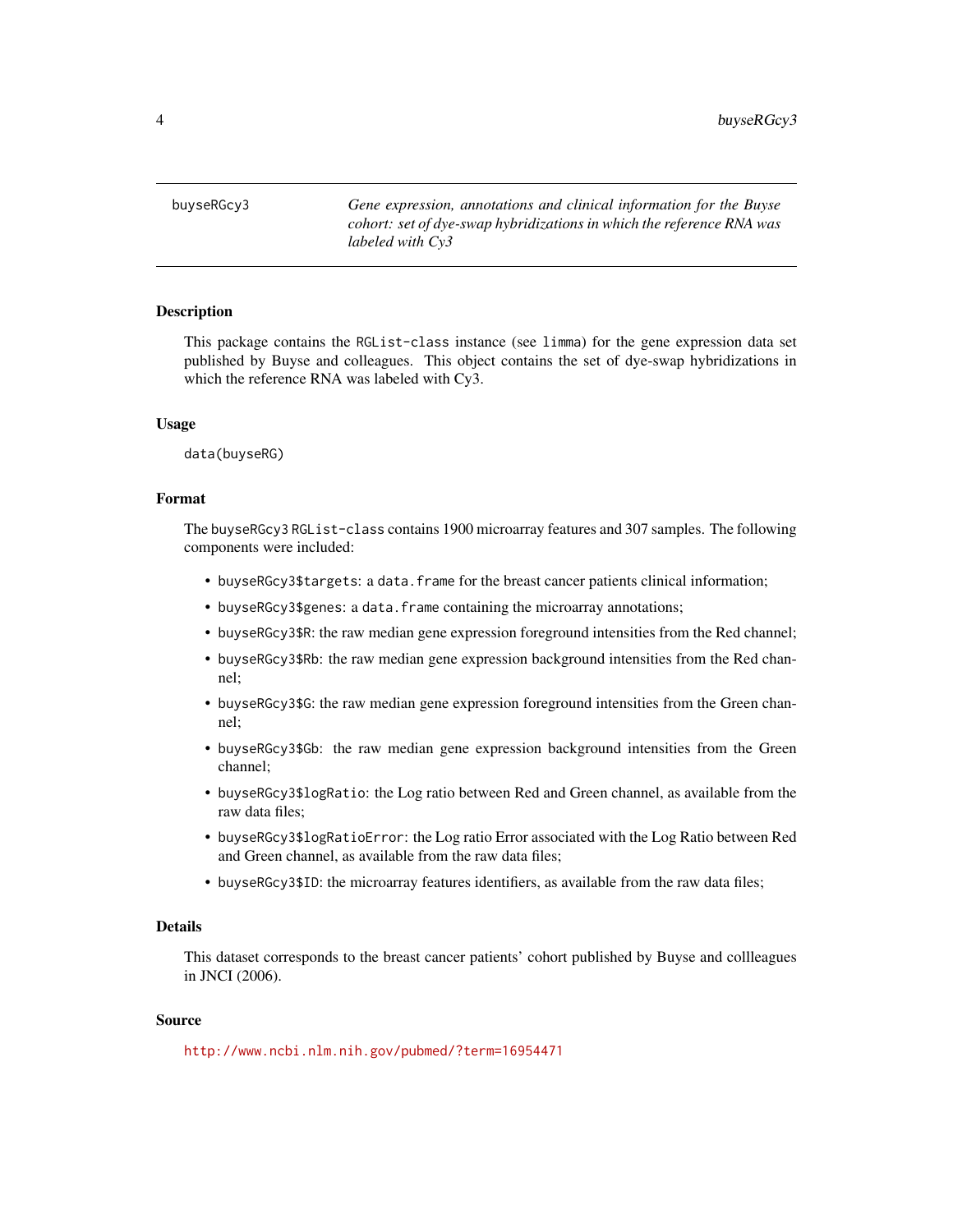<span id="page-3-0"></span>buyseRGcy3 *Gene expression, annotations and clinical information for the Buyse cohort: set of dye-swap hybridizations in which the reference RNA was labeled with Cy3*

# Description

This package contains the RGList-class instance (see limma) for the gene expression data set published by Buyse and colleagues. This object contains the set of dye-swap hybridizations in which the reference RNA was labeled with Cy3.

#### Usage

data(buyseRG)

# Format

The buyseRGcy3 RGList-class contains 1900 microarray features and 307 samples. The following components were included:

- buyseRGcy3\$targets: a data.frame for the breast cancer patients clinical information;
- buyseRGcy3\$genes: a data.frame containing the microarray annotations;
- buyseRGcy3\$R: the raw median gene expression foreground intensities from the Red channel;
- buyseRGcy3\$Rb: the raw median gene expression background intensities from the Red channel;
- buyseRGcy3\$G: the raw median gene expression foreground intensities from the Green channel;
- buyseRGcy3\$Gb: the raw median gene expression background intensities from the Green channel;
- buyseRGcy3\$logRatio: the Log ratio between Red and Green channel, as available from the raw data files;
- buyseRGcy3\$logRatioError: the Log ratio Error associated with the Log Ratio between Red and Green channel, as available from the raw data files;
- buyseRGcy3\$ID: the microarray features identifiers, as available from the raw data files;

#### Details

This dataset corresponds to the breast cancer patients' cohort published by Buyse and collleagues in JNCI (2006).

# Source

<http://www.ncbi.nlm.nih.gov/pubmed/?term=16954471>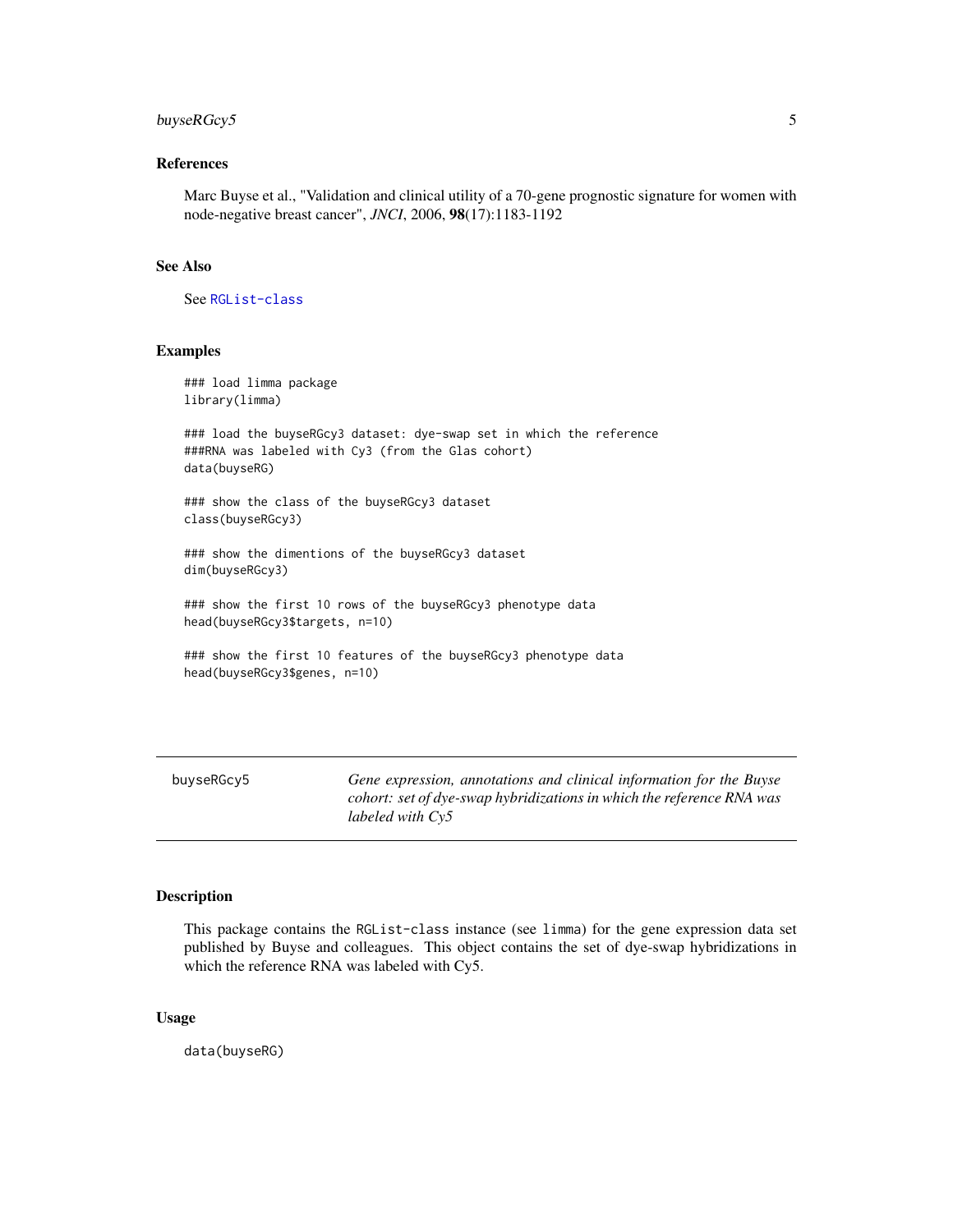# <span id="page-4-0"></span>buyseRGcy5 5

# References

Marc Buyse et al., "Validation and clinical utility of a 70-gene prognostic signature for women with node-negative breast cancer", *JNCI*, 2006, 98(17):1183-1192

## See Also

See [RGList-class](#page-0-0)

# Examples

### load limma package library(limma)

### load the buyseRGcy3 dataset: dye-swap set in which the reference ###RNA was labeled with Cy3 (from the Glas cohort) data(buyseRG)

### show the class of the buyseRGcy3 dataset class(buyseRGcy3)

### show the dimentions of the buyseRGcy3 dataset dim(buyseRGcy3)

### show the first 10 rows of the buyseRGcy3 phenotype data head(buyseRGcy3\$targets, n=10)

```
### show the first 10 features of the buyseRGcy3 phenotype data
head(buyseRGcy3$genes, n=10)
```
buyseRGcy5 *Gene expression, annotations and clinical information for the Buyse cohort: set of dye-swap hybridizations in which the reference RNA was labeled with Cy5*

# Description

This package contains the RGList-class instance (see limma) for the gene expression data set published by Buyse and colleagues. This object contains the set of dye-swap hybridizations in which the reference RNA was labeled with Cy5.

## Usage

data(buyseRG)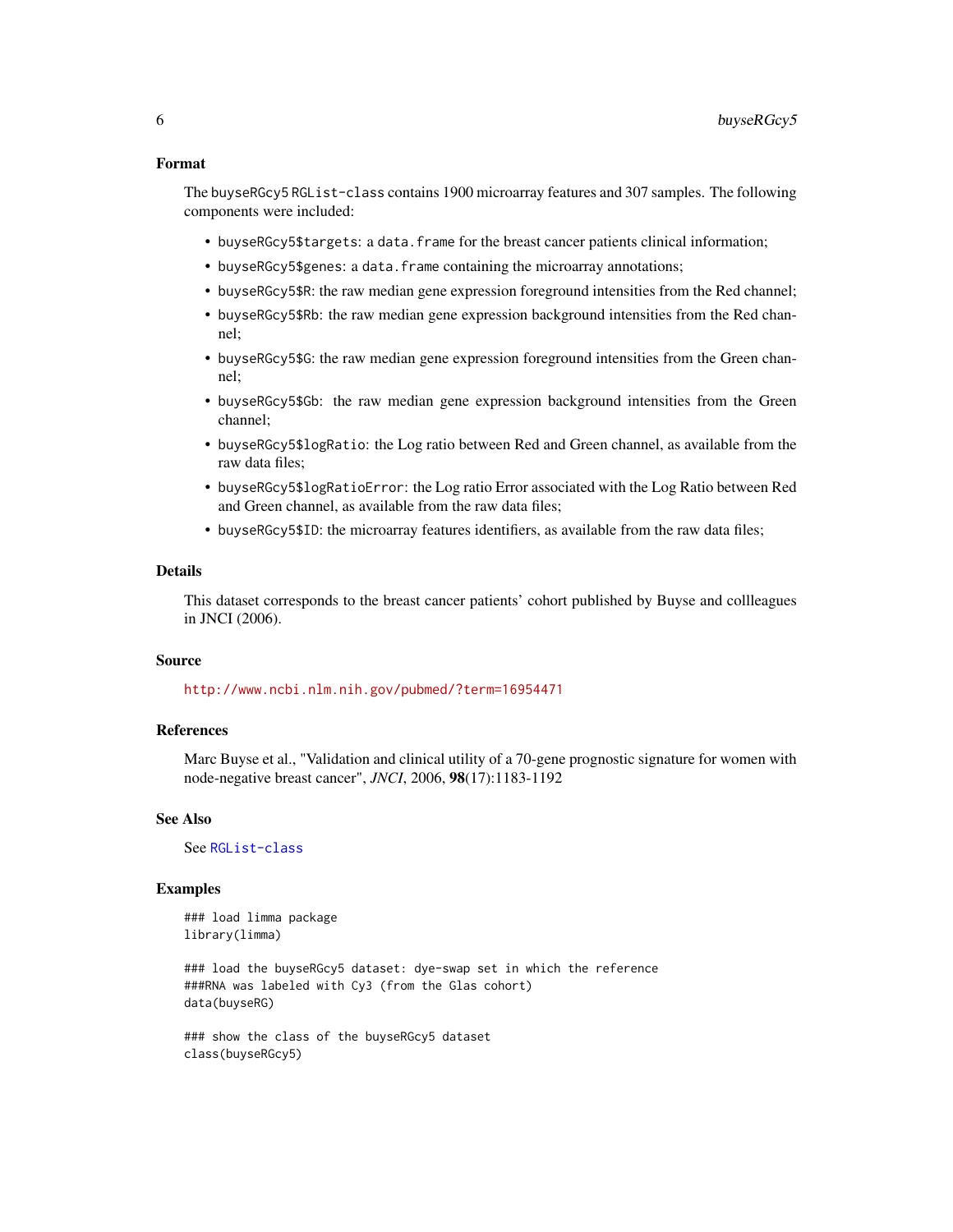# Format

The buyseRGcy5 RGList-class contains 1900 microarray features and 307 samples. The following components were included:

- buyseRGcy5\$targets: a data.frame for the breast cancer patients clinical information;
- buyseRGcy5\$genes: a data.frame containing the microarray annotations;
- buyseRGcy5\$R: the raw median gene expression foreground intensities from the Red channel;
- buyseRGcy5\$Rb: the raw median gene expression background intensities from the Red channel;
- buyseRGcy5\$G: the raw median gene expression foreground intensities from the Green channel;
- buyseRGcy5\$Gb: the raw median gene expression background intensities from the Green channel;
- buyseRGcy5\$logRatio: the Log ratio between Red and Green channel, as available from the raw data files;
- buyseRGcy5\$logRatioError: the Log ratio Error associated with the Log Ratio between Red and Green channel, as available from the raw data files;
- buyseRGcy5\$ID: the microarray features identifiers, as available from the raw data files;

#### Details

This dataset corresponds to the breast cancer patients' cohort published by Buyse and collleagues in JNCI (2006).

# Source

<http://www.ncbi.nlm.nih.gov/pubmed/?term=16954471>

# References

Marc Buyse et al., "Validation and clinical utility of a 70-gene prognostic signature for women with node-negative breast cancer", *JNCI*, 2006, 98(17):1183-1192

# See Also

See [RGList-class](#page-0-0)

# Examples

### load limma package library(limma)

### load the buyseRGcy5 dataset: dye-swap set in which the reference ###RNA was labeled with Cy3 (from the Glas cohort) data(buyseRG)

### show the class of the buyseRGcy5 dataset class(buyseRGcy5)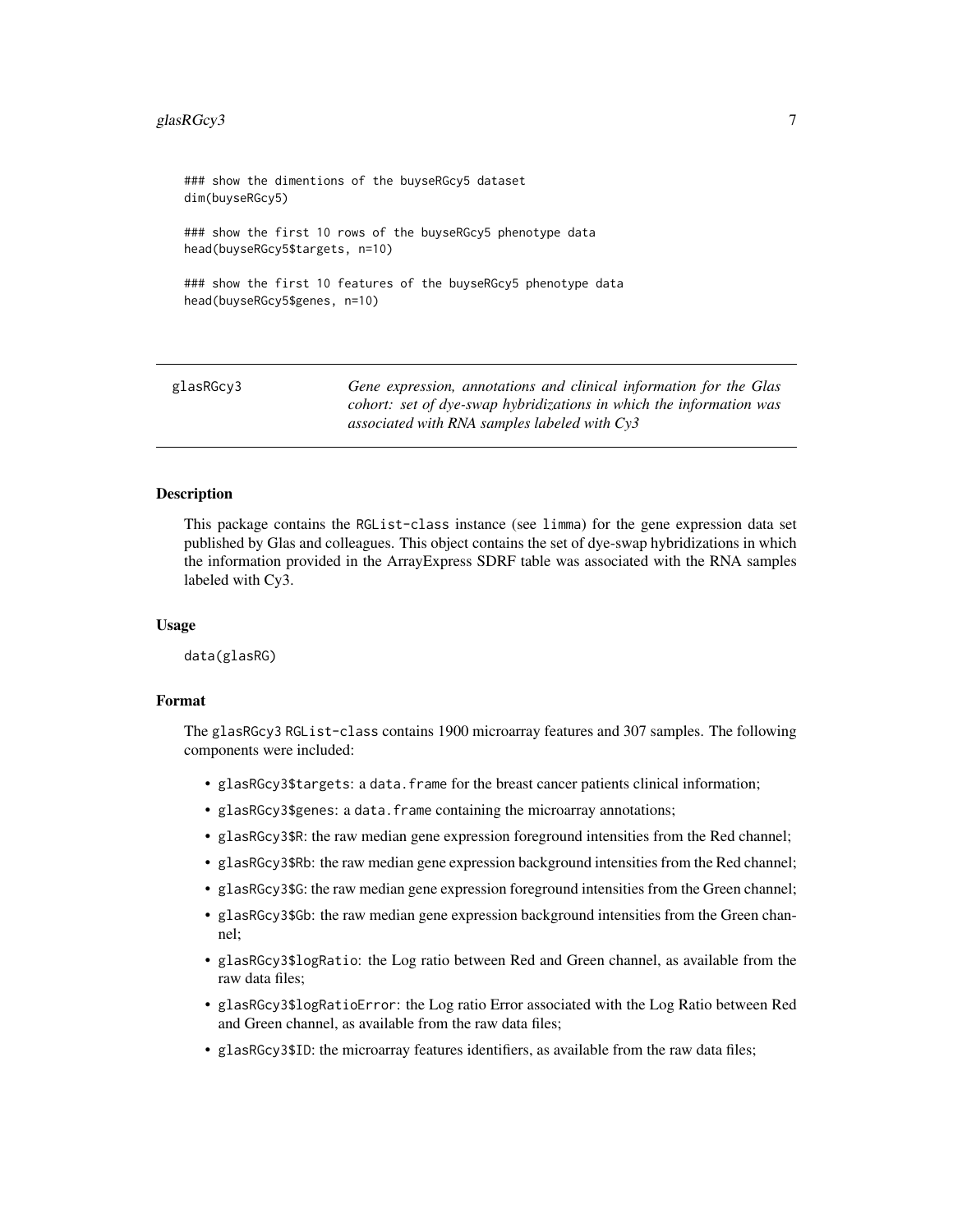# <span id="page-6-0"></span>glasRGcy3 7

### show the dimentions of the buyseRGcy5 dataset dim(buyseRGcy5) ### show the first 10 rows of the buyseRGcy5 phenotype data head(buyseRGcy5\$targets, n=10) ### show the first 10 features of the buyseRGcy5 phenotype data head(buyseRGcy5\$genes, n=10)

glasRGcy3 *Gene expression, annotations and clinical information for the Glas cohort: set of dye-swap hybridizations in which the information was associated with RNA samples labeled with Cy3*

#### Description

This package contains the RGList-class instance (see limma) for the gene expression data set published by Glas and colleagues. This object contains the set of dye-swap hybridizations in which the information provided in the ArrayExpress SDRF table was associated with the RNA samples labeled with Cy3.

#### Usage

data(glasRG)

# Format

The glasRGcy3 RGList-class contains 1900 microarray features and 307 samples. The following components were included:

- glasRGcy3\$targets: a data.frame for the breast cancer patients clinical information;
- glasRGcy3\$genes: a data.frame containing the microarray annotations;
- glasRGcy3\$R: the raw median gene expression foreground intensities from the Red channel;
- glasRGcy3\$Rb: the raw median gene expression background intensities from the Red channel;
- glasRGcy3\$G: the raw median gene expression foreground intensities from the Green channel;
- glasRGcy3\$Gb: the raw median gene expression background intensities from the Green channel;
- glasRGcy3\$logRatio: the Log ratio between Red and Green channel, as available from the raw data files;
- glasRGcy3\$logRatioError: the Log ratio Error associated with the Log Ratio between Red and Green channel, as available from the raw data files;
- glasRGcy3\$ID: the microarray features identifiers, as available from the raw data files;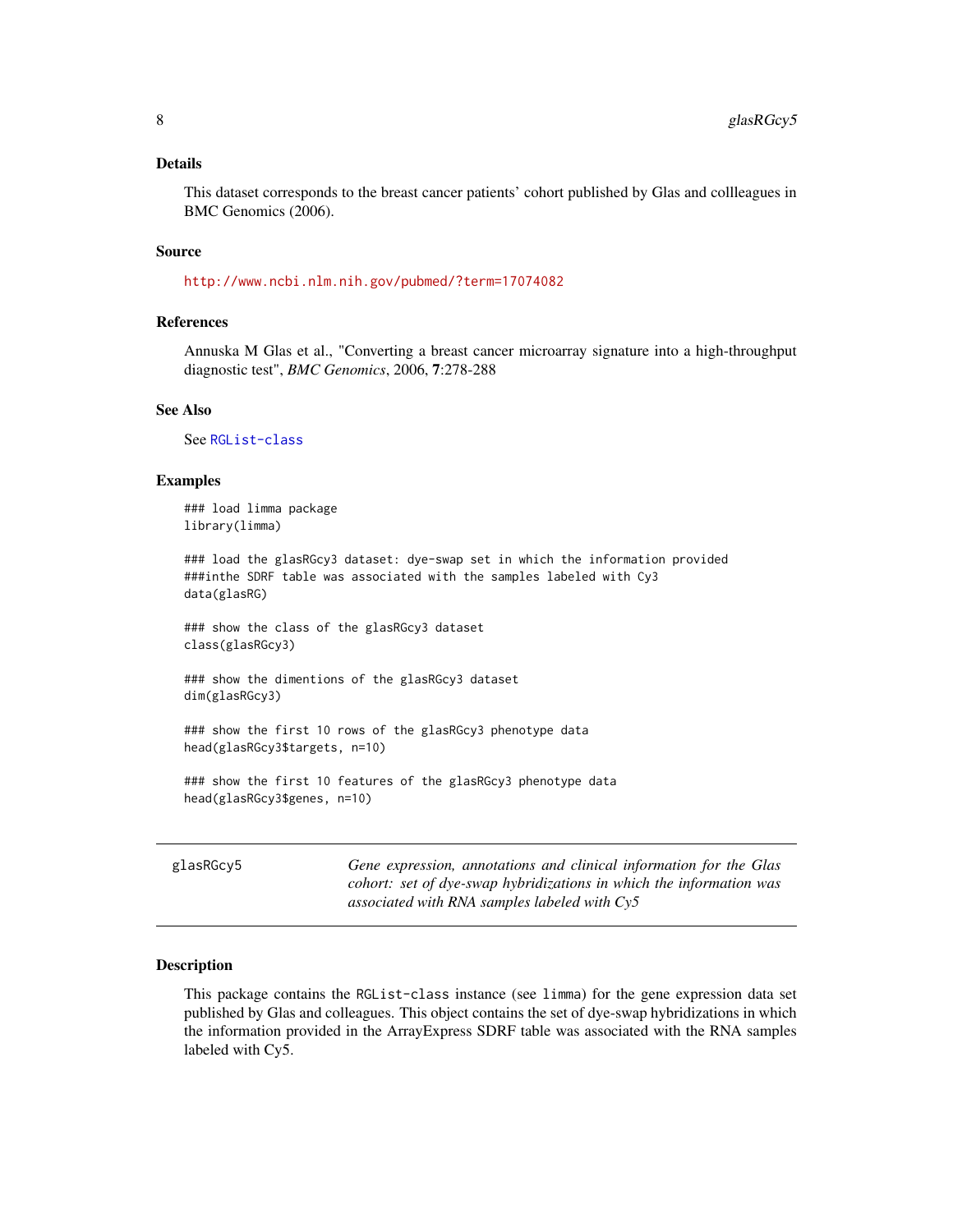#### <span id="page-7-0"></span>Details

This dataset corresponds to the breast cancer patients' cohort published by Glas and collleagues in BMC Genomics (2006).

#### Source

<http://www.ncbi.nlm.nih.gov/pubmed/?term=17074082>

# References

Annuska M Glas et al., "Converting a breast cancer microarray signature into a high-throughput diagnostic test", *BMC Genomics*, 2006, 7:278-288

# See Also

See [RGList-class](#page-0-0)

# Examples

```
### load limma package
library(limma)
```
### load the glasRGcy3 dataset: dye-swap set in which the information provided ###inthe SDRF table was associated with the samples labeled with Cy3 data(glasRG)

### show the class of the glasRGcy3 dataset class(glasRGcy3)

### show the dimentions of the glasRGcy3 dataset dim(glasRGcy3)

### show the first 10 rows of the glasRGcy3 phenotype data head(glasRGcy3\$targets, n=10)

### show the first 10 features of the glasRGcy3 phenotype data head(glasRGcy3\$genes, n=10)

glasRGcy5 *Gene expression, annotations and clinical information for the Glas cohort: set of dye-swap hybridizations in which the information was associated with RNA samples labeled with Cy5*

# Description

This package contains the RGList-class instance (see limma) for the gene expression data set published by Glas and colleagues. This object contains the set of dye-swap hybridizations in which the information provided in the ArrayExpress SDRF table was associated with the RNA samples labeled with Cy5.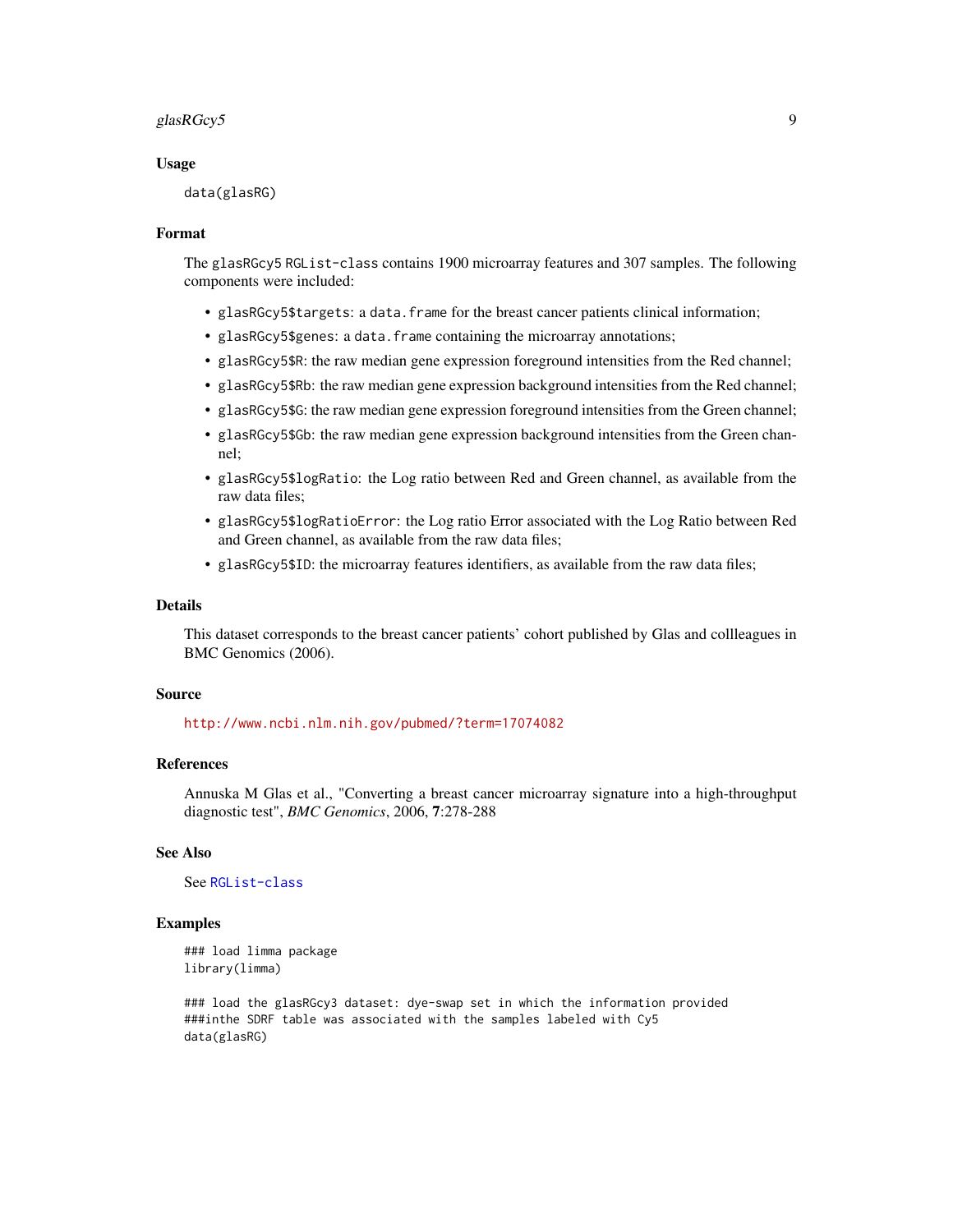#### glasRGcy5 9 and 2011 12:30 and 2012 12:30 and 2012 12:30 and 2012 12:30 and 2012 12:30 and 2012 12:30 and 201

#### Usage

data(glasRG)

#### Format

The glasRGcy5 RGList-class contains 1900 microarray features and 307 samples. The following components were included:

- glasRGcy5\$targets: a data.frame for the breast cancer patients clinical information;
- glasRGcy5\$genes: a data.frame containing the microarray annotations;
- glasRGcy5\$R: the raw median gene expression foreground intensities from the Red channel;
- glasRGcy5\$Rb: the raw median gene expression background intensities from the Red channel;
- glasRGcy5\$G: the raw median gene expression foreground intensities from the Green channel;
- glasRGcy5\$Gb: the raw median gene expression background intensities from the Green channel;
- glasRGcy5\$logRatio: the Log ratio between Red and Green channel, as available from the raw data files;
- glasRGcy5\$logRatioError: the Log ratio Error associated with the Log Ratio between Red and Green channel, as available from the raw data files;
- glasRGcy5\$ID: the microarray features identifiers, as available from the raw data files;

# Details

This dataset corresponds to the breast cancer patients' cohort published by Glas and collleagues in BMC Genomics (2006).

#### Source

<http://www.ncbi.nlm.nih.gov/pubmed/?term=17074082>

# References

Annuska M Glas et al., "Converting a breast cancer microarray signature into a high-throughput diagnostic test", *BMC Genomics*, 2006, 7:278-288

# See Also

See [RGList-class](#page-0-0)

# Examples

```
### load limma package
library(limma)
```
### load the glasRGcy3 dataset: dye-swap set in which the information provided ###inthe SDRF table was associated with the samples labeled with Cy5 data(glasRG)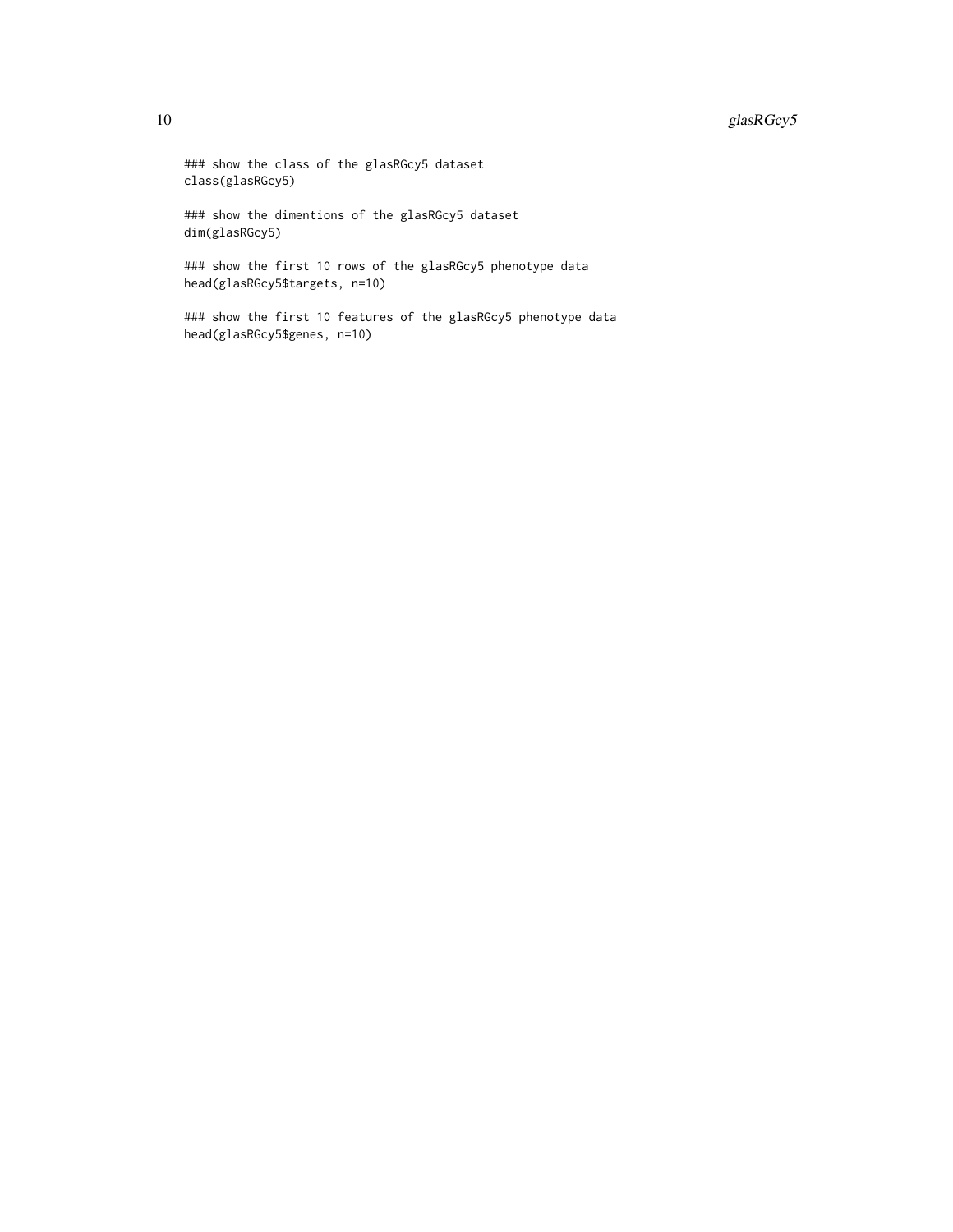# 10 glasRGcy5

### show the class of the glasRGcy5 dataset class(glasRGcy5)

### show the dimentions of the glasRGcy5 dataset dim(glasRGcy5)

### show the first 10 rows of the glasRGcy5 phenotype data head(glasRGcy5\$targets, n=10)

### show the first 10 features of the glasRGcy5 phenotype data head(glasRGcy5\$genes, n=10)